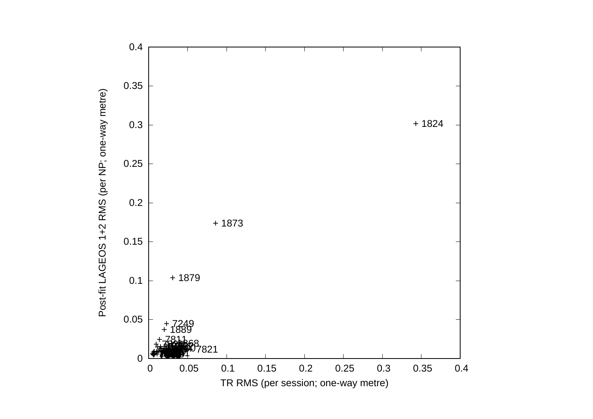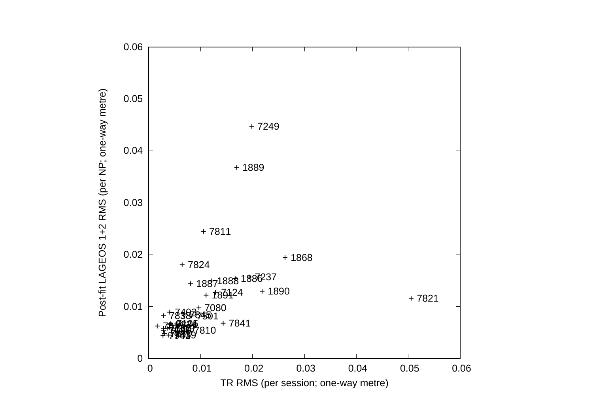